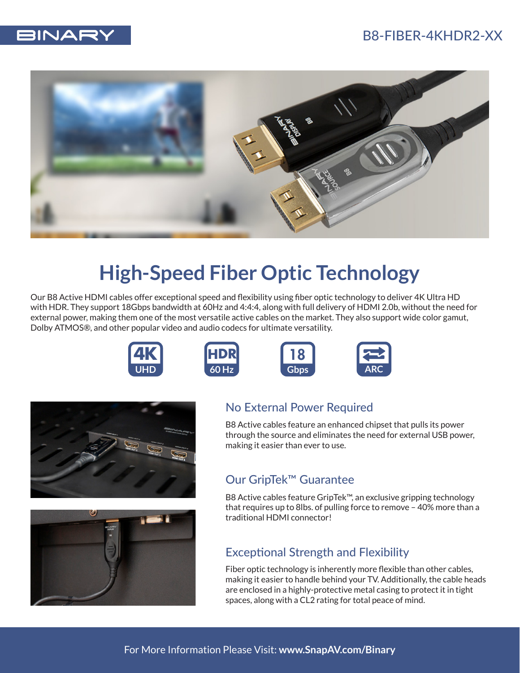



## **High-Speed Fiber Optic Technology**

Our B8 Active HDMI cables offer exceptional speed and flexibility using fiber optic technology to deliver 4K Ultra HD with HDR. They support 18Gbps bandwidth at 60Hz and 4:4:4, along with full delivery of HDMI 2.0b, without the need for external power, making them one of the most versatile active cables on the market. They also support wide color gamut, Dolby ATMOS®, and other popular video and audio codecs for ultimate versatility.













## No External Power Required

B8 Active cables feature an enhanced chipset that pulls its power through the source and eliminates the need for external USB power, making it easier than ever to use.

## Our GripTek™ Guarantee

B8 Active cables feature GripTek™, an exclusive gripping technology that requires up to 8lbs. of pulling force to remove – 40% more than a traditional HDMI connector!

## Exceptional Strength and Flexibility

Fiber optic technology is inherently more flexible than other cables, making it easier to handle behind your TV. Additionally, the cable heads are enclosed in a highly-protective metal casing to protect it in tight spaces, along with a CL2 rating for total peace of mind.